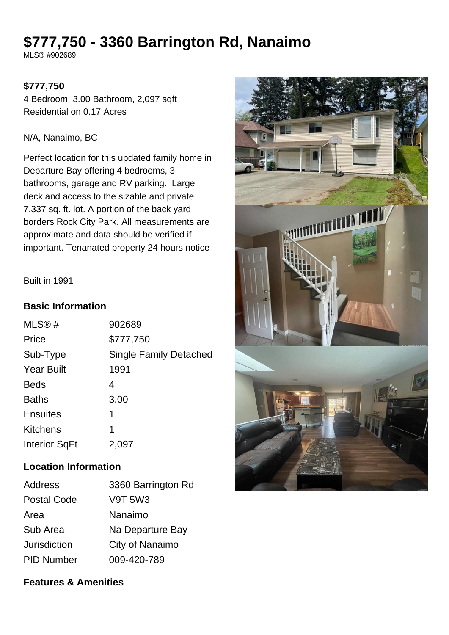# **\$777,750 - 3360 Barrington Rd, Nanaimo**

MLS® #902689

# **\$777,750**

4 Bedroom, 3.00 Bathroom, 2,097 sqft Residential on 0.17 Acres

#### N/A, Nanaimo, BC

Perfect location for this updated family home in Departure Bay offering 4 bedrooms, 3 bathrooms, garage and RV parking. Large deck and access to the sizable and private 7,337 sq. ft. lot. A portion of the back yard borders Rock City Park. All measurements are approximate and data should be verified if important. Tenanated property 24 hours notice

#### Built in 1991

#### **Basic Information**

| MLS@#                | 902689                        |
|----------------------|-------------------------------|
| Price                | \$777,750                     |
| Sub-Type             | <b>Single Family Detached</b> |
| <b>Year Built</b>    | 1991                          |
| <b>Beds</b>          | 4                             |
| <b>Baths</b>         | 3.00                          |
| <b>Ensuites</b>      | 1                             |
| <b>Kitchens</b>      | 1                             |
| <b>Interior SqFt</b> | 2,097                         |

### **Location Information**

| Address             | 3360 Barrington Rd |
|---------------------|--------------------|
| <b>Postal Code</b>  | <b>V9T 5W3</b>     |
| Area                | Nanaimo            |
| Sub Area            | Na Departure Bay   |
| <b>Jurisdiction</b> | City of Nanaimo    |
| <b>PID Number</b>   | 009-420-789        |

## **Features & Amenities**